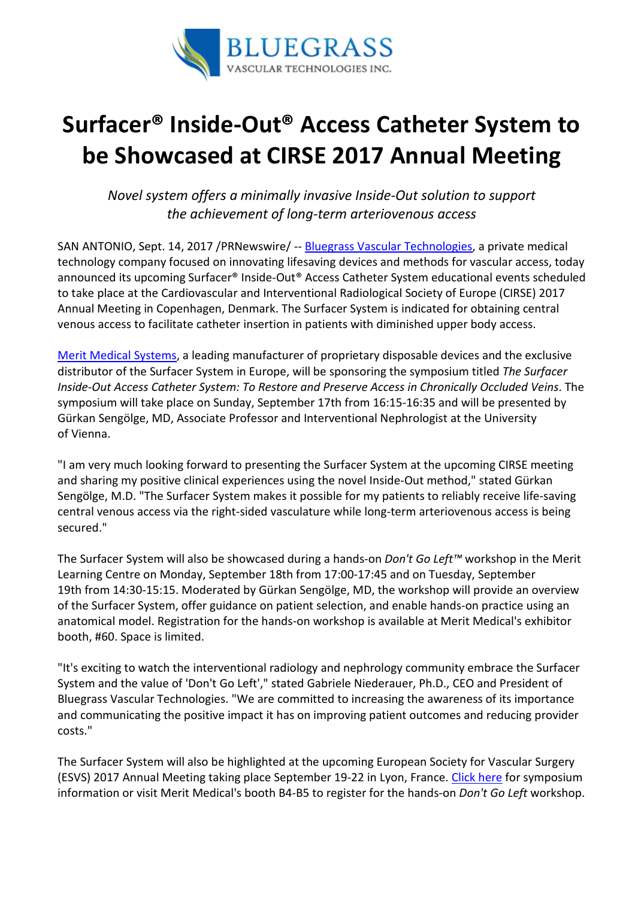

## Surfacer® Inside-Out® Access Catheter System to be Showcased at CIRSE 2017 Annual Meeting

Novel system offers a minimally invasive Inside-Out solution to support the achievement of long-term arteriovenous access

SAN ANTONIO, Sept. 14, 2017 /PRNewswire/ -- Bluegrass Vascular Technologies, a private medical technology company focused on innovating lifesaving devices and methods for vascular access, today announced its upcoming Surfacer® Inside-Out® Access Catheter System educational events scheduled to take place at the Cardiovascular and Interventional Radiological Society of Europe (CIRSE) 2017 Annual Meeting in Copenhagen, Denmark. The Surfacer System is indicated for obtaining central venous access to facilitate catheter insertion in patients with diminished upper body access.

Merit Medical Systems, a leading manufacturer of proprietary disposable devices and the exclusive distributor of the Surfacer System in Europe, will be sponsoring the symposium titled The Surfacer Inside-Out Access Catheter System: To Restore and Preserve Access in Chronically Occluded Veins. The symposium will take place on Sunday, September 17th from 16:15-16:35 and will be presented by Gürkan Sengölge, MD, Associate Professor and Interventional Nephrologist at the University of Vienna.

"I am very much looking forward to presenting the Surfacer System at the upcoming CIRSE meeting and sharing my positive clinical experiences using the novel Inside-Out method," stated Gürkan Sengölge, M.D. "The Surfacer System makes it possible for my patients to reliably receive life-saving central venous access via the right-sided vasculature while long-term arteriovenous access is being secured."

The Surfacer System will also be showcased during a hands-on Don't Go Left™ workshop in the Merit Learning Centre on Monday, September 18th from 17:00-17:45 and on Tuesday, September 19th from 14:30-15:15. Moderated by Gürkan Sengölge, MD, the workshop will provide an overview of the Surfacer System, offer guidance on patient selection, and enable hands-on practice using an anatomical model. Registration for the hands-on workshop is available at Merit Medical's exhibitor booth, #60. Space is limited.

"It's exciting to watch the interventional radiology and nephrology community embrace the Surfacer System and the value of 'Don't Go Left'," stated Gabriele Niederauer, Ph.D., CEO and President of Bluegrass Vascular Technologies. "We are committed to increasing the awareness of its importance and communicating the positive impact it has on improving patient outcomes and reducing provider costs."

The Surfacer System will also be highlighted at the upcoming European Society for Vascular Surgery (ESVS) 2017 Annual Meeting taking place September 19-22 in Lyon, France. Click here for symposium information or visit Merit Medical's booth B4-B5 to register for the hands-on *Don't Go Left* workshop.